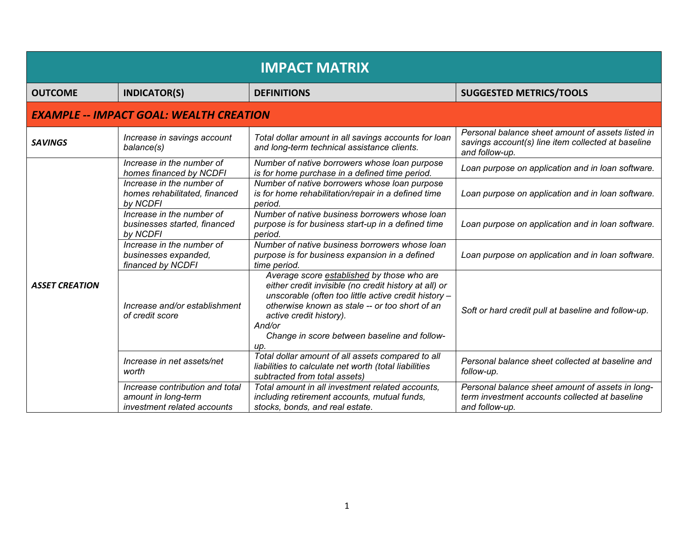| <b>IMPACT MATRIX</b>                           |                                                                                       |                                                                                                                                                                                                                                                                                                           |                                                                                                                           |  |  |
|------------------------------------------------|---------------------------------------------------------------------------------------|-----------------------------------------------------------------------------------------------------------------------------------------------------------------------------------------------------------------------------------------------------------------------------------------------------------|---------------------------------------------------------------------------------------------------------------------------|--|--|
| <b>OUTCOME</b>                                 | <b>INDICATOR(S)</b>                                                                   | <b>DEFINITIONS</b>                                                                                                                                                                                                                                                                                        | <b>SUGGESTED METRICS/TOOLS</b>                                                                                            |  |  |
| <b>EXAMPLE -- IMPACT GOAL: WEALTH CREATION</b> |                                                                                       |                                                                                                                                                                                                                                                                                                           |                                                                                                                           |  |  |
| <b>SAVINGS</b>                                 | Increase in savings account<br>balance(s)                                             | Total dollar amount in all savings accounts for loan<br>and long-term technical assistance clients.                                                                                                                                                                                                       | Personal balance sheet amount of assets listed in<br>savings account(s) line item collected at baseline<br>and follow-up. |  |  |
|                                                | Increase in the number of<br>homes financed by NCDFI                                  | Number of native borrowers whose loan purpose<br>is for home purchase in a defined time period.                                                                                                                                                                                                           | Loan purpose on application and in loan software.                                                                         |  |  |
|                                                | Increase in the number of<br>homes rehabilitated, financed<br>by NCDFI                | Number of native borrowers whose loan purpose<br>is for home rehabilitation/repair in a defined time<br>period.                                                                                                                                                                                           | Loan purpose on application and in loan software.                                                                         |  |  |
|                                                | Increase in the number of<br>businesses started, financed<br>by NCDFI                 | Number of native business borrowers whose loan<br>purpose is for business start-up in a defined time<br>period.                                                                                                                                                                                           | Loan purpose on application and in loan software.                                                                         |  |  |
|                                                | Increase in the number of<br>businesses expanded,<br>financed by NCDFI                | Number of native business borrowers whose loan<br>purpose is for business expansion in a defined<br>time period.                                                                                                                                                                                          | Loan purpose on application and in loan software.                                                                         |  |  |
| <b>ASSET CREATION</b>                          | Increase and/or establishment<br>of credit score                                      | Average score established by those who are<br>either credit invisible (no credit history at all) or<br>unscorable (often too little active credit history -<br>otherwise known as stale -- or too short of an<br>active credit history).<br>And/or<br>Change in score between baseline and follow-<br>up. | Soft or hard credit pull at baseline and follow-up.                                                                       |  |  |
|                                                | Increase in net assets/net<br>worth                                                   | Total dollar amount of all assets compared to all<br>liabilities to calculate net worth (total liabilities<br>subtracted from total assets)                                                                                                                                                               | Personal balance sheet collected at baseline and<br>follow-up.                                                            |  |  |
|                                                | Increase contribution and total<br>amount in long-term<br>investment related accounts | Total amount in all investment related accounts.<br>including retirement accounts, mutual funds,<br>stocks, bonds, and real estate.                                                                                                                                                                       | Personal balance sheet amount of assets in long-<br>term investment accounts collected at baseline<br>and follow-up.      |  |  |